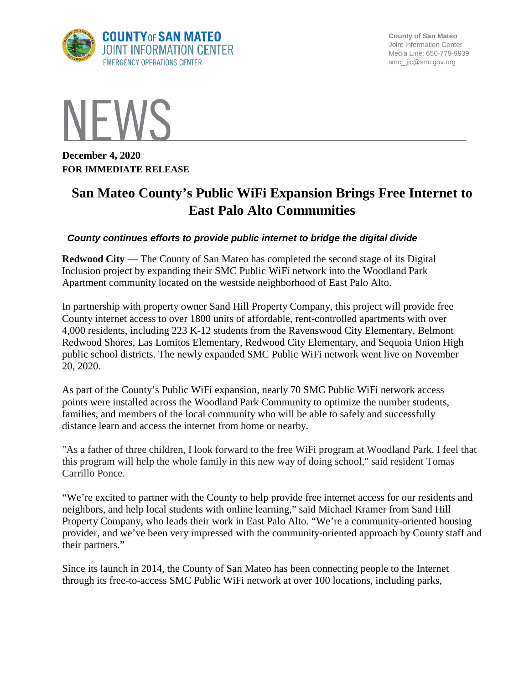

**County of San Mateo** Joint Information Center Media Line: 650-779-9939 smc\_ jic@smcgov.org



**December 4, 2020 FOR IMMEDIATE RELEASE**

## **San Mateo County's Public WiFi Expansion Brings Free Internet to East Palo Alto Communities**

## *County continues efforts to provide public internet to bridge the digital divide*

**Redwood City** — The County of San Mateo has completed the second stage of its Digital Inclusion project by expanding their SMC Public WiFi network into the Woodland Park Apartment community located on the westside neighborhood of East Palo Alto.

In partnership with property owner Sand Hill Property Company, this project will provide free County internet access to over 1800 units of affordable, rent-controlled apartments with over 4,000 residents, including 223 K-12 students from the Ravenswood City Elementary, Belmont Redwood Shores, Las Lomitos Elementary, Redwood City Elementary, and Sequoia Union High public school districts. The newly expanded SMC Public WiFi network went live on November 20, 2020.

As part of the County's Public WiFi expansion, nearly 70 SMC Public WiFi network access points were installed across the Woodland Park Community to optimize the number students, families, and members of the local community who will be able to safely and successfully distance learn and access the internet from home or nearby.

"As a father of three children, I look forward to the free WiFi program at Woodland Park. I feel that this program will help the whole family in this new way of doing school," said resident Tomas Carrillo Ponce.

"We're excited to partner with the County to help provide free internet access for our residents and neighbors, and help local students with online learning," said Michael Kramer from Sand Hill Property Company, who leads their work in East Palo Alto. "We're a community-oriented housing provider, and we've been very impressed with the community-oriented approach by County staff and their partners."

Since its launch in 2014, the County of San Mateo has been connecting people to the Internet through its free-to-access SMC Public WiFi network at over 100 locations, including parks,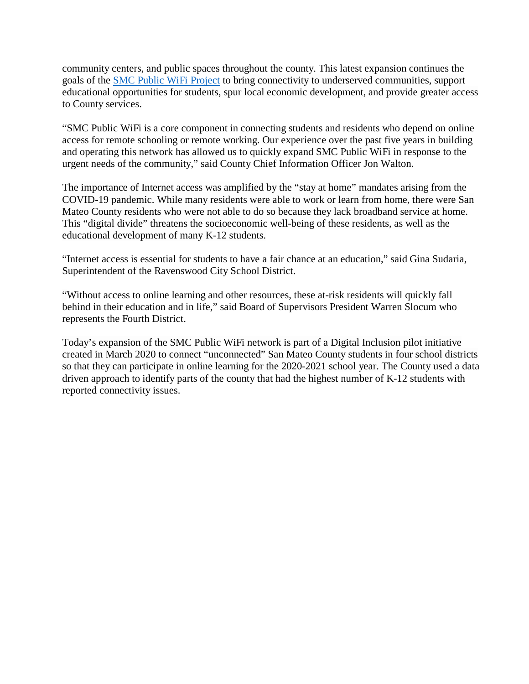community centers, and public spaces throughout the county. This latest expansion continues the goals of the [SMC Public WiFi Project](https://www.smcgov.org/smc-public-wifi-project) to bring connectivity to underserved communities, support educational opportunities for students, spur local economic development, and provide greater access to County services.

"SMC Public WiFi is a core component in connecting students and residents who depend on online access for remote schooling or remote working. Our experience over the past five years in building and operating this network has allowed us to quickly expand SMC Public WiFi in response to the urgent needs of the community," said County Chief Information Officer Jon Walton.

The importance of Internet access was amplified by the "stay at home" mandates arising from the COVID-19 pandemic. While many residents were able to work or learn from home, there were San Mateo County residents who were not able to do so because they lack broadband service at home. This "digital divide" threatens the socioeconomic well-being of these residents, as well as the educational development of many K-12 students.

"Internet access is essential for students to have a fair chance at an education," said Gina Sudaria, Superintendent of the Ravenswood City School District.

"Without access to online learning and other resources, these at-risk residents will quickly fall behind in their education and in life," said Board of Supervisors President Warren Slocum who represents the Fourth District.

Today's expansion of the SMC Public WiFi network is part of a Digital Inclusion pilot initiative created in March 2020 to connect "unconnected" San Mateo County students in four school districts so that they can participate in online learning for the 2020-2021 school year. The County used a data driven approach to identify parts of the county that had the highest number of K-12 students with reported connectivity issues.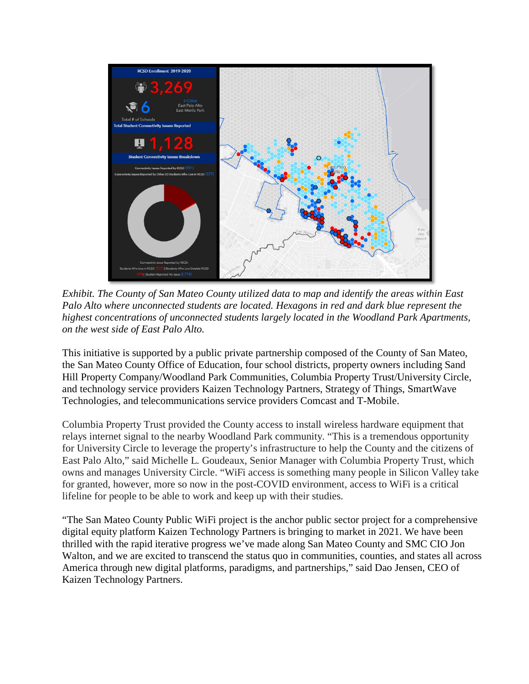

*Exhibit. The County of San Mateo County utilized data to map and identify the areas within East Palo Alto where unconnected students are located. Hexagons in red and dark blue represent the highest concentrations of unconnected students largely located in the Woodland Park Apartments, on the west side of East Palo Alto.*

This initiative is supported by a public private partnership composed of the County of San Mateo, the San Mateo County Office of Education, four school districts, property owners including Sand Hill Property Company/Woodland Park Communities, Columbia Property Trust/University Circle, and technology service providers Kaizen Technology Partners, Strategy of Things, SmartWave Technologies, and telecommunications service providers Comcast and T-Mobile.

Columbia Property Trust provided the County access to install wireless hardware equipment that relays internet signal to the nearby Woodland Park community. "This is a tremendous opportunity for University Circle to leverage the property's infrastructure to help the County and the citizens of East Palo Alto," said Michelle L. Goudeaux, Senior Manager with Columbia Property Trust, which owns and manages University Circle. "WiFi access is something many people in Silicon Valley take for granted, however, more so now in the post-COVID environment, access to WiFi is a critical lifeline for people to be able to work and keep up with their studies.

"The San Mateo County Public WiFi project is the anchor public sector project for a comprehensive digital equity platform Kaizen Technology Partners is bringing to market in 2021. We have been thrilled with the rapid iterative progress we've made along San Mateo County and SMC CIO Jon Walton, and we are excited to transcend the status quo in communities, counties, and states all across America through new digital platforms, paradigms, and partnerships," said Dao Jensen, CEO of Kaizen Technology Partners.